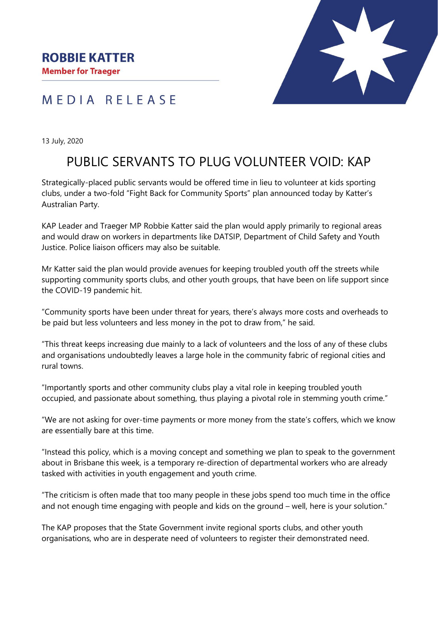## MEDIA RELEASE

13 July, 2020

## PUBLIC SERVANTS TO PLUG VOLUNTEER VOID: KAP

Strategically-placed public servants would be offered time in lieu to volunteer at kids sporting clubs, under a two-fold "Fight Back for Community Sports" plan announced today by Katter's Australian Party.

KAP Leader and Traeger MP Robbie Katter said the plan would apply primarily to regional areas and would draw on workers in departments like DATSIP, Department of Child Safety and Youth Justice. Police liaison officers may also be suitable.

Mr Katter said the plan would provide avenues for keeping troubled youth off the streets while supporting community sports clubs, and other youth groups, that have been on life support since the COVID-19 pandemic hit.

"Community sports have been under threat for years, there's always more costs and overheads to be paid but less volunteers and less money in the pot to draw from," he said.

"This threat keeps increasing due mainly to a lack of volunteers and the loss of any of these clubs and organisations undoubtedly leaves a large hole in the community fabric of regional cities and rural towns.

"Importantly sports and other community clubs play a vital role in keeping troubled youth occupied, and passionate about something, thus playing a pivotal role in stemming youth crime."

"We are not asking for over-time payments or more money from the state's coffers, which we know are essentially bare at this time.

"Instead this policy, which is a moving concept and something we plan to speak to the government about in Brisbane this week, is a temporary re-direction of departmental workers who are already tasked with activities in youth engagement and youth crime.

"The criticism is often made that too many people in these jobs spend too much time in the office and not enough time engaging with people and kids on the ground – well, here is your solution."

The KAP proposes that the State Government invite regional sports clubs, and other youth organisations, who are in desperate need of volunteers to register their demonstrated need.